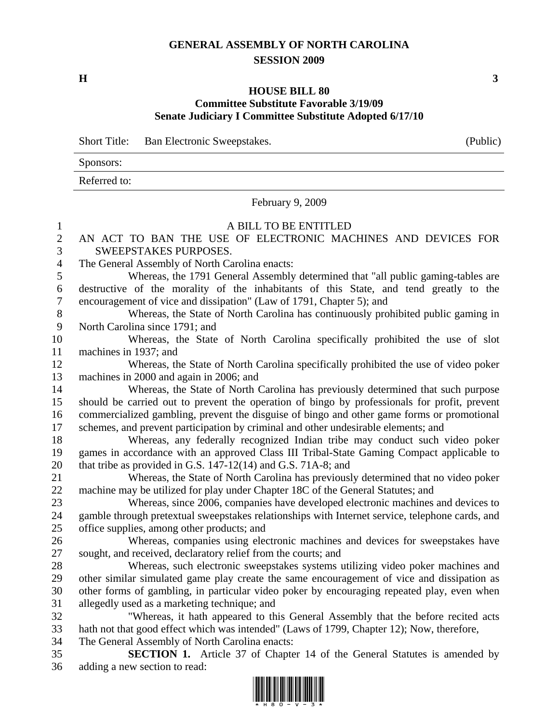## **GENERAL ASSEMBLY OF NORTH CAROLINA SESSION 2009**

 $\mathbf{H}$  3

## **HOUSE BILL 80 Committee Substitute Favorable 3/19/09 Senate Judiciary I Committee Substitute Adopted 6/17/10**

Short Title: Ban Electronic Sweepstakes. (Public)

| Sponsors:    |  |
|--------------|--|
| Referred to: |  |

February 9, 2009

## 1 A BILL TO BE ENTITLED 2 AN ACT TO BAN THE USE OF ELECTRONIC MACHINES AND DEVICES FOR 3 SWEEPSTAKES PURPOSES. 4 The General Assembly of North Carolina enacts: 5 Whereas, the 1791 General Assembly determined that "all public gaming-tables are 6 destructive of the morality of the inhabitants of this State, and tend greatly to the 7 encouragement of vice and dissipation" (Law of 1791, Chapter 5); and 8 Whereas, the State of North Carolina has continuously prohibited public gaming in 9 North Carolina since 1791; and 10 Whereas, the State of North Carolina specifically prohibited the use of slot 11 machines in 1937; and 12 Whereas, the State of North Carolina specifically prohibited the use of video poker 13 machines in 2000 and again in 2006; and 14 Whereas, the State of North Carolina has previously determined that such purpose 15 should be carried out to prevent the operation of bingo by professionals for profit, prevent 16 commercialized gambling, prevent the disguise of bingo and other game forms or promotional 17 schemes, and prevent participation by criminal and other undesirable elements; and 18 Whereas, any federally recognized Indian tribe may conduct such video poker 19 games in accordance with an approved Class III Tribal-State Gaming Compact applicable to 20 that tribe as provided in G.S. 147-12(14) and G.S. 71A-8; and 21 Whereas, the State of North Carolina has previously determined that no video poker 22 machine may be utilized for play under Chapter 18C of the General Statutes; and 23 Whereas, since 2006, companies have developed electronic machines and devices to 24 gamble through pretextual sweepstakes relationships with Internet service, telephone cards, and 25 office supplies, among other products; and 26 Whereas, companies using electronic machines and devices for sweepstakes have 27 sought, and received, declaratory relief from the courts; and 28 Whereas, such electronic sweepstakes systems utilizing video poker machines and 29 other similar simulated game play create the same encouragement of vice and dissipation as 30 other forms of gambling, in particular video poker by encouraging repeated play, even when 31 allegedly used as a marketing technique; and 32 "Whereas, it hath appeared to this General Assembly that the before recited acts 33 hath not that good effect which was intended" (Laws of 1799, Chapter 12); Now, therefore, 34 The General Assembly of North Carolina enacts: 35 **SECTION 1.** Article 37 of Chapter 14 of the General Statutes is amended by 36 adding a new section to read:

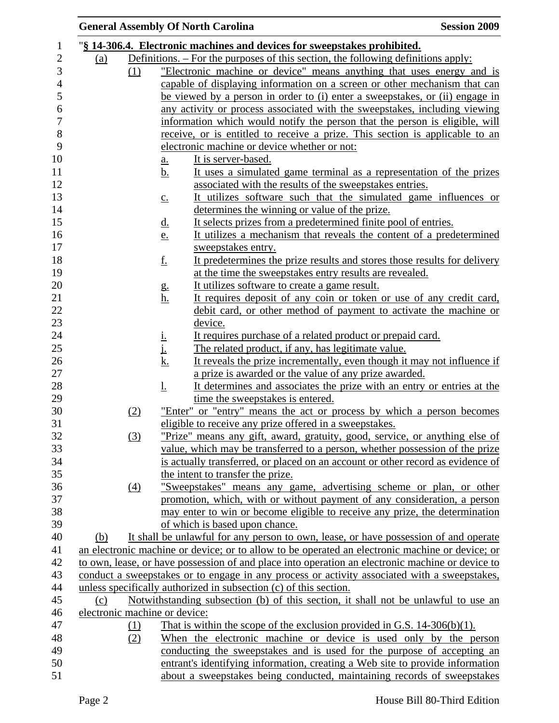|     |                               |                                 | <b>General Assembly Of North Carolina</b>                                                        | <b>Session 2009</b> |
|-----|-------------------------------|---------------------------------|--------------------------------------------------------------------------------------------------|---------------------|
|     |                               |                                 | "§ 14-306.4. Electronic machines and devices for sweepstakes prohibited.                         |                     |
| (a) |                               |                                 | Definitions. – For the purposes of this section, the following definitions apply:                |                     |
|     | (1)                           |                                 | "Electronic machine or device" means anything that uses energy and is                            |                     |
|     |                               |                                 | capable of displaying information on a screen or other mechanism that can                        |                     |
|     |                               |                                 | be viewed by a person in order to (i) enter a sweepstakes, or (ii) engage in                     |                     |
|     |                               |                                 | any activity or process associated with the sweepstakes, including viewing                       |                     |
|     |                               |                                 | information which would notify the person that the person is eligible, will                      |                     |
|     |                               |                                 | receive, or is entitled to receive a prize. This section is applicable to an                     |                     |
|     |                               |                                 | electronic machine or device whether or not:                                                     |                     |
|     |                               | <u>a.</u>                       | It is server-based.                                                                              |                     |
|     |                               | <u>b.</u>                       | It uses a simulated game terminal as a representation of the prizes                              |                     |
|     |                               |                                 | associated with the results of the sweepstakes entries.                                          |                     |
|     |                               | $\underline{c}$ .               | It utilizes software such that the simulated game influences or                                  |                     |
|     |                               |                                 | determines the winning or value of the prize.                                                    |                     |
|     |                               | <u>d.</u>                       | It selects prizes from a predetermined finite pool of entries.                                   |                     |
|     |                               | e.                              | It utilizes a mechanism that reveals the content of a predetermined                              |                     |
|     |                               |                                 | sweepstakes entry.                                                                               |                     |
|     |                               | <u>f.</u>                       | It predetermines the prize results and stores those results for delivery                         |                     |
|     |                               |                                 | at the time the sweepstakes entry results are revealed.                                          |                     |
|     |                               |                                 | It utilizes software to create a game result.                                                    |                     |
|     |                               | g.<br><u>h.</u>                 | It requires deposit of any coin or token or use of any credit card,                              |                     |
|     |                               |                                 | debit card, or other method of payment to activate the machine or                                |                     |
|     |                               |                                 | device.                                                                                          |                     |
|     |                               |                                 | It requires purchase of a related product or prepaid card.                                       |                     |
|     |                               | $\frac{\mathrm{i}}{\mathrm{i}}$ | The related product, if any, has legitimate value.                                               |                     |
|     |                               | <u>k.</u>                       | It reveals the prize incrementally, even though it may not influence if                          |                     |
|     |                               |                                 | a prize is awarded or the value of any prize awarded.                                            |                     |
|     |                               | <u>l.</u>                       | It determines and associates the prize with an entry or entries at the                           |                     |
|     |                               |                                 | time the sweepstakes is entered.                                                                 |                     |
|     | (2)                           |                                 | "Enter" or "entry" means the act or process by which a person becomes                            |                     |
|     |                               |                                 | eligible to receive any prize offered in a sweepstakes.                                          |                     |
|     | (3)                           |                                 | "Prize" means any gift, award, gratuity, good, service, or anything else of                      |                     |
|     |                               |                                 | value, which may be transferred to a person, whether possession of the prize                     |                     |
|     |                               |                                 | is actually transferred, or placed on an account or other record as evidence of                  |                     |
|     |                               |                                 | the intent to transfer the prize.                                                                |                     |
|     | $\left(4\right)$              |                                 | "Sweepstakes" means any game, advertising scheme or plan, or other                               |                     |
|     |                               |                                 | promotion, which, with or without payment of any consideration, a person                         |                     |
|     |                               |                                 | may enter to win or become eligible to receive any prize, the determination                      |                     |
|     |                               |                                 | of which is based upon chance.                                                                   |                     |
| (b) |                               |                                 | It shall be unlawful for any person to own, lease, or have possession of and operate             |                     |
|     |                               |                                 | an electronic machine or device; or to allow to be operated an electronic machine or device; or  |                     |
|     |                               |                                 | to own, lease, or have possession of and place into operation an electronic machine or device to |                     |
|     |                               |                                 | conduct a sweepstakes or to engage in any process or activity associated with a sweepstakes,     |                     |
|     |                               |                                 | unless specifically authorized in subsection (c) of this section.                                |                     |
| (c) |                               |                                 | Notwithstanding subsection (b) of this section, it shall not be unlawful to use an               |                     |
|     | electronic machine or device: |                                 |                                                                                                  |                     |
|     | (1)                           |                                 | That is within the scope of the exclusion provided in G.S. $14-306(b)(1)$ .                      |                     |
|     | (2)                           |                                 | When the electronic machine or device is used only by the person                                 |                     |
|     |                               |                                 | conducting the sweepstakes and is used for the purpose of accepting an                           |                     |
|     |                               |                                 | entrant's identifying information, creating a Web site to provide information                    |                     |
|     |                               |                                 | about a sweepstakes being conducted, maintaining records of sweepstakes                          |                     |
|     |                               |                                 |                                                                                                  |                     |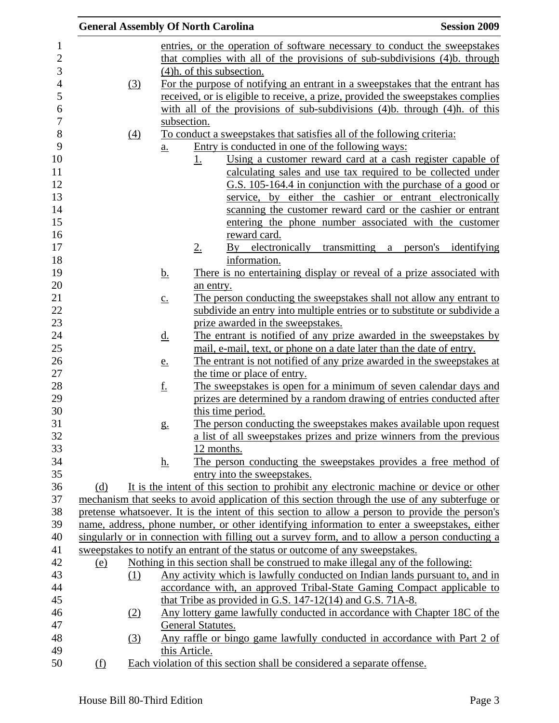| <b>General Assembly Of North Carolina</b> |                   |                   |                   |                                                                                                                                                                   | <b>Session 2009</b>  |
|-------------------------------------------|-------------------|-------------------|-------------------|-------------------------------------------------------------------------------------------------------------------------------------------------------------------|----------------------|
|                                           |                   |                   |                   | entries, or the operation of software necessary to conduct the sweepstakes                                                                                        |                      |
|                                           |                   |                   |                   | that complies with all of the provisions of sub-subdivisions (4)b. through                                                                                        |                      |
|                                           |                   |                   |                   | $(4)$ h. of this subsection.                                                                                                                                      |                      |
|                                           | (3)               |                   |                   | For the purpose of notifying an entrant in a sweepstakes that the entrant has                                                                                     |                      |
|                                           |                   |                   |                   | received, or is eligible to receive, a prize, provided the sweepstakes complies                                                                                   |                      |
|                                           |                   |                   |                   | with all of the provisions of sub-subdivisions $(4)$ b. through $(4)$ h. of this                                                                                  |                      |
|                                           |                   |                   | subsection.       |                                                                                                                                                                   |                      |
|                                           | $\underline{(4)}$ |                   |                   | To conduct a sweepstakes that satisfies all of the following criteria:                                                                                            |                      |
|                                           |                   | $\underline{a}$ . |                   | Entry is conducted in one of the following ways:                                                                                                                  |                      |
|                                           |                   |                   | <u>1.</u>         | Using a customer reward card at a cash register capable of<br>calculating sales and use tax required to be collected under                                        |                      |
|                                           |                   |                   |                   | G.S. 105-164.4 in conjunction with the purchase of a good or                                                                                                      |                      |
|                                           |                   |                   |                   | service, by either the cashier or entrant electronically                                                                                                          |                      |
|                                           |                   |                   |                   | scanning the customer reward card or the cashier or entrant                                                                                                       |                      |
|                                           |                   |                   |                   | entering the phone number associated with the customer                                                                                                            |                      |
|                                           |                   |                   |                   | reward card.                                                                                                                                                      |                      |
|                                           |                   |                   | 2.                | transmitting a<br>$\mathbf{B}\mathbf{v}$<br>electronically                                                                                                        | person's identifying |
|                                           |                   |                   |                   | information.                                                                                                                                                      |                      |
|                                           |                   | <u>b.</u>         |                   | There is no entertaining display or reveal of a prize associated with                                                                                             |                      |
|                                           |                   |                   | an entry.         |                                                                                                                                                                   |                      |
|                                           |                   | $\underline{c}$ . |                   | The person conducting the sweepstakes shall not allow any entrant to                                                                                              |                      |
|                                           |                   |                   |                   | subdivide an entry into multiple entries or to substitute or subdivide a<br>prize awarded in the sweepstakes.                                                     |                      |
|                                           |                   | $\underline{d}$ . |                   | The entrant is notified of any prize awarded in the sweepstakes by                                                                                                |                      |
|                                           |                   |                   |                   | mail, e-mail, text, or phone on a date later than the date of entry.                                                                                              |                      |
|                                           |                   | e.                |                   | The entrant is not notified of any prize awarded in the sweepstakes at                                                                                            |                      |
|                                           |                   |                   |                   | the time or place of entry.                                                                                                                                       |                      |
|                                           |                   | <u>f.</u>         |                   | The sweepstakes is open for a minimum of seven calendar days and                                                                                                  |                      |
|                                           |                   |                   |                   | prizes are determined by a random drawing of entries conducted after                                                                                              |                      |
|                                           |                   |                   |                   | this time period.                                                                                                                                                 |                      |
|                                           |                   | g.                |                   | The person conducting the sweepstakes makes available upon request                                                                                                |                      |
|                                           |                   |                   |                   | a list of all sweepstakes prizes and prize winners from the previous                                                                                              |                      |
|                                           |                   |                   | 12 months.        |                                                                                                                                                                   |                      |
|                                           |                   | <u>h.</u>         |                   | The person conducting the sweepstakes provides a free method of                                                                                                   |                      |
|                                           |                   |                   |                   | entry into the sweepstakes.                                                                                                                                       |                      |
| (d)                                       |                   |                   |                   | It is the intent of this section to prohibit any electronic machine or device or other                                                                            |                      |
|                                           |                   |                   |                   | mechanism that seeks to avoid application of this section through the use of any subterfuge or                                                                    |                      |
|                                           |                   |                   |                   | pretense whatsoever. It is the intent of this section to allow a person to provide the person's                                                                   |                      |
|                                           |                   |                   |                   | name, address, phone number, or other identifying information to enter a sweepstakes, either                                                                      |                      |
|                                           |                   |                   |                   | singularly or in connection with filling out a survey form, and to allow a person conducting a                                                                    |                      |
|                                           |                   |                   |                   | sweepstakes to notify an entrant of the status or outcome of any sweepstakes.<br>Nothing in this section shall be construed to make illegal any of the following: |                      |
| (e)                                       | (1)               |                   |                   | Any activity which is lawfully conducted on Indian lands pursuant to, and in                                                                                      |                      |
|                                           |                   |                   |                   | accordance with, an approved Tribal-State Gaming Compact applicable to                                                                                            |                      |
|                                           |                   |                   |                   | that Tribe as provided in G.S. 147-12(14) and G.S. 71A-8.                                                                                                         |                      |
|                                           | (2)               |                   |                   | Any lottery game lawfully conducted in accordance with Chapter 18C of the                                                                                         |                      |
|                                           |                   |                   | General Statutes. |                                                                                                                                                                   |                      |
|                                           | (3)               |                   |                   | Any raffle or bingo game lawfully conducted in accordance with Part 2 of                                                                                          |                      |
|                                           |                   |                   | this Article.     |                                                                                                                                                                   |                      |
| (f)                                       |                   |                   |                   | Each violation of this section shall be considered a separate offense.                                                                                            |                      |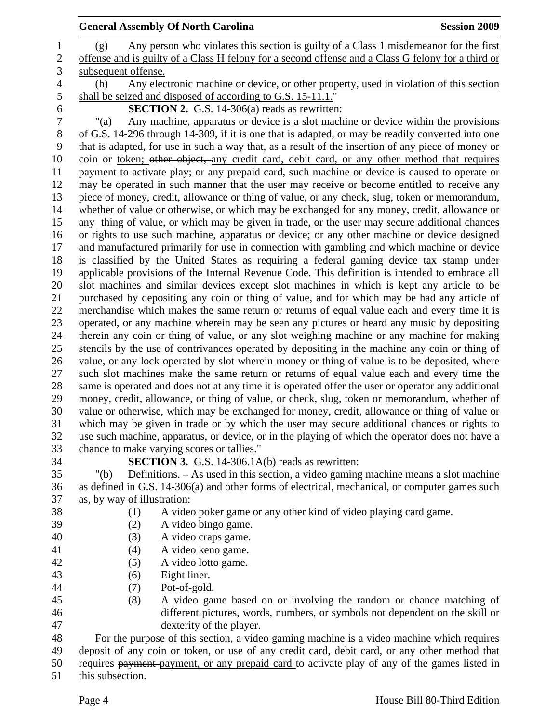|                  | <b>General Assembly Of North Carolina</b>                                                                                                                                                       | <b>Session 2009</b> |
|------------------|-------------------------------------------------------------------------------------------------------------------------------------------------------------------------------------------------|---------------------|
| $\mathbf{1}$     | Any person who violates this section is guilty of a Class 1 misdemeanor for the first<br>(g)                                                                                                    |                     |
| $\overline{c}$   | offense and is guilty of a Class H felony for a second offense and a Class G felony for a third or                                                                                              |                     |
| $\overline{3}$   | subsequent offense.                                                                                                                                                                             |                     |
| 4                | Any electronic machine or device, or other property, used in violation of this section<br>(h)                                                                                                   |                     |
| 5                | shall be seized and disposed of according to G.S. 15-11.1."                                                                                                                                     |                     |
| 6                | <b>SECTION 2.</b> G.S. 14-306(a) reads as rewritten:                                                                                                                                            |                     |
| $\boldsymbol{7}$ | Any machine, apparatus or device is a slot machine or device within the provisions<br>" $(a)$                                                                                                   |                     |
| 8                | of G.S. 14-296 through 14-309, if it is one that is adapted, or may be readily converted into one                                                                                               |                     |
| 9                | that is adapted, for use in such a way that, as a result of the insertion of any piece of money or                                                                                              |                     |
| 10               | coin or <u>token; ether object, any credit card</u> , debit card, or any other method that requires                                                                                             |                     |
| 11               | payment to activate play; or any prepaid card, such machine or device is caused to operate or                                                                                                   |                     |
| 12               | may be operated in such manner that the user may receive or become entitled to receive any                                                                                                      |                     |
| 13               | piece of money, credit, allowance or thing of value, or any check, slug, token or memorandum,                                                                                                   |                     |
| 14               | whether of value or otherwise, or which may be exchanged for any money, credit, allowance or                                                                                                    |                     |
| 15               | any thing of value, or which may be given in trade, or the user may secure additional chances                                                                                                   |                     |
| 16               | or rights to use such machine, apparatus or device; or any other machine or device designed                                                                                                     |                     |
| 17               | and manufactured primarily for use in connection with gambling and which machine or device                                                                                                      |                     |
| 18               | is classified by the United States as requiring a federal gaming device tax stamp under                                                                                                         |                     |
| 19               | applicable provisions of the Internal Revenue Code. This definition is intended to embrace all                                                                                                  |                     |
| 20               | slot machines and similar devices except slot machines in which is kept any article to be                                                                                                       |                     |
| 21               | purchased by depositing any coin or thing of value, and for which may be had any article of                                                                                                     |                     |
| 22               | merchandise which makes the same return or returns of equal value each and every time it is                                                                                                     |                     |
| 23               | operated, or any machine wherein may be seen any pictures or heard any music by depositing                                                                                                      |                     |
| 24               | therein any coin or thing of value, or any slot weighing machine or any machine for making                                                                                                      |                     |
| 25<br>26         | stencils by the use of contrivances operated by depositing in the machine any coin or thing of<br>value, or any lock operated by slot wherein money or thing of value is to be deposited, where |                     |
| 27               | such slot machines make the same return or returns of equal value each and every time the                                                                                                       |                     |
| 28               | same is operated and does not at any time it is operated offer the user or operator any additional                                                                                              |                     |
| 29               | money, credit, allowance, or thing of value, or check, slug, token or memorandum, whether of                                                                                                    |                     |
| 30               | value or otherwise, which may be exchanged for money, credit, allowance or thing of value or                                                                                                    |                     |
| 31               | which may be given in trade or by which the user may secure additional chances or rights to                                                                                                     |                     |
| 32               | use such machine, apparatus, or device, or in the playing of which the operator does not have a                                                                                                 |                     |
| 33               | chance to make varying scores or tallies."                                                                                                                                                      |                     |
| 34               | <b>SECTION 3.</b> G.S. 14-306.1A(b) reads as rewritten:                                                                                                                                         |                     |

35 "(b) Definitions. – As used in this section, a video gaming machine means a slot machine 36 as defined in G.S. 14-306(a) and other forms of electrical, mechanical, or computer games such 37 as, by way of illustration:

- 38 (1) A video poker game or any other kind of video playing card game.
- 39 (2) A video bingo game.
- 
- 40 (3) A video craps game. 41 (4) A video keno game.
- 42 (5) A video lotto game.
- 43 (6) Eight liner.
- 44 (7) Pot-of-gold.
- 45 (8) A video game based on or involving the random or chance matching of 46 different pictures, words, numbers, or symbols not dependent on the skill or 47 dexterity of the player.

48 For the purpose of this section, a video gaming machine is a video machine which requires 49 deposit of any coin or token, or use of any credit card, debit card, or any other method that 50 requires payment-payment, or any prepaid card to activate play of any of the games listed in

51 this subsection.